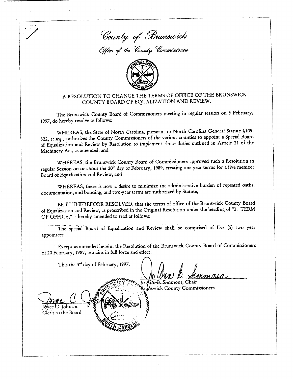



## A RESOLUTION TO CHANGE THE TERMS OF OFFICE OF THE BRUNSWICK COUNTY BOARD OF EQUALIZATION AND REVIEW.

The Brunswick County Board of Commissioners meeting in regular session on 3 February, 1997, do hereby resolve as follows:

WHEREAS, the State of North Carolina, pursuant to North Carolina General Statute §105-322, et seq., authorizes the County Commissioners of the various counties to appoint a Special Board of Equalization and Review by Resolution to implement those duties outlined in Article 21 of the Machinery Act, as amended, and

WHEREAS, the Brunswick County Board of Commissioners approved such a Resolution in regular Session on or about the 20<sup>th</sup> day of February, 1989, creating one year terms for a five member Board of Equalization and Review, and

WHEREAS, there is now a desire to minimize the administrative burden of repeated oaths, documentation, and bonding, and two-year terms are authorized by Statute,

BE IT THEREFORE RESOLVED, that the terms of office of the Brunswick County Board of Equalization and Review, as proscribed in the Original Resolution under the heading of "3. TERM OF OFFICE," is hereby amended to read as follows:

The special Board of Equalization and Review shall be comprised of five (5) two year appointees.

Except as amended herein, the Resolution of the Brunswick County Board of Commissioners of 20 February, 1989, remains in full force and effect.

This the 3rd day of February, 1997. o A<del>bn B. Sim</del>mons, Chair **Myswick County Commissioners** Iohnson Clerk to the Board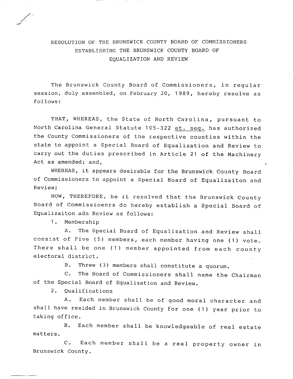## RESOLUTION OF THE BRUNSWICK COUNTY BOARD OF COMMISSIONERS ESTABLISHING THE BRUNSWICK COUNTY BOARD OF EQUALIZATION AND REVIEW

The Brunswick County Board of Commissioners, in regular session, duly assembled, on February 20, 1989, hereby resolve as follows

THAT, WHEREAS, the State of North Carolina, pursuant to North Carolina General Statute 105-322 et. seq. has authorized<br>the County Commissioners of the respective counties within the session, duly assembled, on February 20, 1989, hereby resolve as<br>
follows:<br>
THAT, WHEREAS, the State of North Carolina, pursuant to<br>
North Carolina General Statute 105-322 <u>et. seq.</u> has authorized<br>
the County Commissioner THAT, WHEREAS, the State of North Carolina, pursuant to<br>North Carolina General Statute 105-322 <u>et. seq.</u> has authorized<br>the County Commissioners of the respective counties within the<br>state to appoint a Special Board of Eq North Carolina General Statute 105-322 et. seq. has authorized<br>the County Commissioners of the respective counties within the<br>state to appoint a Special Board of Equalization and Review to<br>carry out the duties prescribed i carry out the duties prescribed in Article 21 of the Machinery<br>Act as amended; and,

WHEREAS, it appears desirable for the Brunswick County Board of Commissioners to appoint a Special Board of Equalizaiton and Review:

NOW, THEREFORE, be it resolved that the Brunswick County carry out the duties prescribed in Article 21 of the Machinery<br>
Act as amended; and,<br>
WHEREAS, it appears desirable for the Brunswick County Board<br>
of Commissioners to appoint a Special Board of Equalizaiton and<br>
Review;<br> w;<br>NOW, THEREFOR<br>| of Commissi<br>| izaiton adn Re<br>| . Membership<br>| A. The Sp

l<br>V

Equalizaiton adn Review as follows:<br>1. Membership<br>A. The Special Board of Equalization and Review shall department on the series as follows:<br>1. Membership<br>2. The Special Board of Equalization and Review shall<br>2. There shall be one (1) member appointed from each account A. The Special Board of Equalization and Review shall<br>consist of Five (5) members, each member having one (1) vote.<br>There shall be one (1) member appointed from each county A. The Sp<br>
A. The Sp<br>
consist of Five (5<br>
There shall be or<br>
electoral district.<br>
B. Three The Special Board of Equalization and Rev<br>
Membership<br>
A. The Special Board of Equalization and Rev<br>
of Five (5) members, each member having one<br>
all be one (1) member appointed from eac<br>
district.<br>
B. Three (3) members sh There shall be one (1) member appointed from each county<br>electoral district.<br>B. Three (3) members shall constitute a quorum.<br>C. The Board of Commissioners shall name the Chairman st of Five (5) me<br>
e shall be one (7<br>
oral district.<br>
B. Three (3) m<br>
C. The Board c<br>
e Special Board of<br>
2. Qualifications<br>
A. Each membe<br>
have resided in Br

of the Special Board of Equalization and Review.<br>2. Oualifications

A. Each member shall be of good moral character and 2. Qualifications<br>
A. Each member shall be of good moral character and<br>
shall have resided in Brunswick County for one (1) year prior to<br>
taking office A.<br>Shall have re<br>taking office Qualifications<br>
A. Each member shall be of good moral character and<br>
e resided in Brunswick County for one (1) year prior to<br>
fice.<br>
B. Each member shall be knowledgeable of real estate<br>
C. Each member shall be a masl surv

taking office.<br>B. E<br>matters. B. Each member shall be knowledgeable of real estate<br>C. Each member shall be a real property owner in

Brunswick County.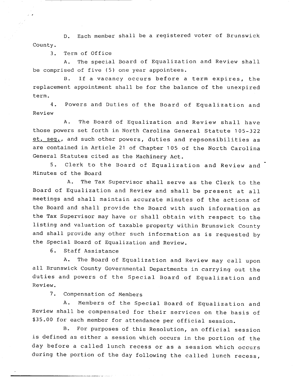D. Each member shall be a registered voter of Brunswick County.

3. Term of Office

<sup>A</sup> The special Board of Equalization and Review shall be comprised of five (5) one year appointees

sed or 1<br>B. If a If a vacancy occurs before a term expires, the replacement appointment shall be for the balance of the unexpired term

4. Powers and Duties of the Board of Equalization and Review

A. The Board of Equalization and Review shall have those powers set forth in North Carolina General Statute 105-322 serm.<br>
4. Powers and Duties of the Board of Equalization and<br>
Review<br>
A. The Board of Equalization and Review shall have<br>
those powers set forth in North Carolina General Statute 105-322<br>
<u>et. seq.</u>, and such other powers, are contained in Article 21 of Chapter 105

5. Clerk to the Board of Equalization and Review and  $\overline{C}$ <br>Minutes of the Board General Statutes cited as the Machinery Act.<br>5. Clerk to the Board of Equaliza<br>Minutes of the Board<br>A. The Tax Supervisor shall serve

The Tax Supervisor shall serve as the Clerk to the Minutes of the Board<br>A. The Tax Supervisor shall serve as the Clerk to the<br>Board of Equalization and Review and shall be present at all<br>meetings and shall maintain accurate minutes of the actions of a. The Tax Supervisor shall serve as the Clerk to the<br>Board of Equalization and Review and shall be present at all<br>meetings and shall maintain accurate minutes of the actions of<br>the Board and shall provide the Board with s meetings and shall maintain accurate minutes of the actions of<br>the Board and shall provide the Board with such information as meetings and shall maintain accurate minutes of the actions of<br>the Board and shall provide the Board with such information as<br>the Tax Supervisor may have or shall obtain with respect to the<br>listing and valuation of taxable the Board and shall provide the Board with such information as<br>the Tax Supervisor may have or shall obtain with respect to the<br>listing and valuation of taxable property within Brunswick County<br>and shall provide any other s

6. Staff Assistance

A. The of Equalization and Review.<br>Sistance<br>Board of Equalization and Review may call upon<br>nty Covernmental Depertment the Special Board of Equalization and Review.<br>
6. Staff Assistance<br>
A. The Board of Equalization and Review may call upon<br>
all Brunswick County Governmental Departments in carrying out the<br>
duties and powers of the Special <sup>0.</sup><br>all Brun<br>duties<br>Review.<br>7. A. The Board of Equalization and Review may call upon<br>all Brunswick County Governmental Departments in carrying out the<br>duties and powers of the Special Board of Equalization and<br>Review.<br>7. Compensation of Members<br>A. Membe

Nu powers of the special Board of Equalization and<br>Compensation of Members<br>A. Members of the Special Board of Equalization and<br>all be compensated for their Serviews on the basis of 3. Compensation of Members<br>
A. Members of the Special Board of Equalization and<br>
Review shall be compensated for their services on the basis of<br>
\$35.00 for each member for attendance per official session. \$35.00 for each member for attendance per official session. mpensation of Members<br>Members of the Special Board of Equalizati<br>l be compensated for their services on the ba<br>each member for attendance per official session.<br>For purposes of this Resolution, an official s members of the special Board of Equalization and<br>be compensated for their services on the basis of<br>ch member for attendance per official session.<br>For purposes of this Resolution, an official session<br>either a session which

 $B_{\bullet}$ A. Members of the special Board of Equalization and<br>Review shall be compensated for their services on the basis of<br>\$35.00 for each member for attendance per official session.<br>B. For purposes of this Resolution, an official \$35.00 for each member for attendance per official session.<br>B. For purposes of this Resolution, an official session<br>is defined as either a session which occurs in the portion of the<br>day before a called lunch recess or as a day before a called lunch recess or as a session which occurs<br>during the portion of the day following the called lunch recess,